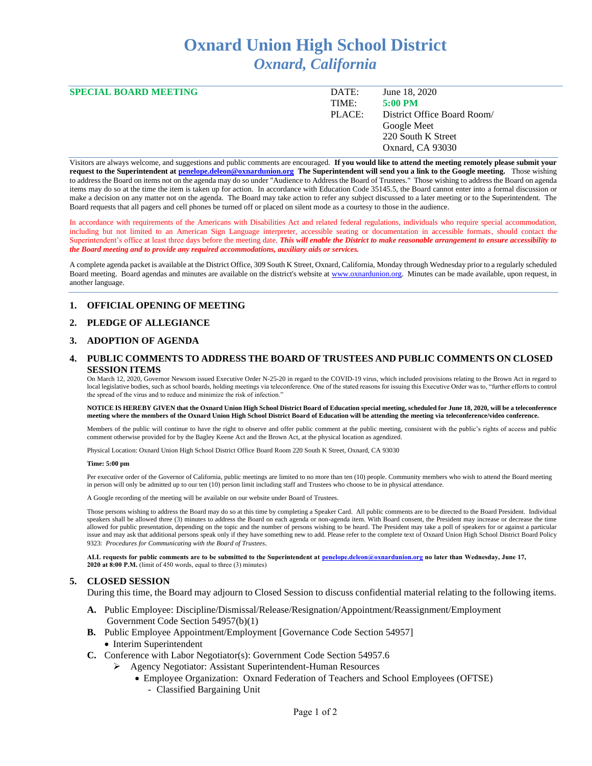# **Oxnard Union High School District** *Oxnard, California*

| <b>SPECIAL BOARD MEETING</b> | DATE:  | June 18, 2020               |
|------------------------------|--------|-----------------------------|
|                              | TIME:  | $5:00 \text{ PM}$           |
|                              | PLACE: | District Office Board Room/ |
|                              |        | Google Meet                 |
|                              |        | 220 South K Street          |
|                              |        | Oxnard, CA 93030            |
|                              |        |                             |

Visitors are always welcome, and suggestions and public comments are encouraged. **If you would like to attend the meeting remotely please submit your request to the Superintendent at [penelope.deleon@oxnardunion.org](mailto:penelope.deleon@oxnardunion.org) The Superintendent will send you a link to the Google meeting.** Those wishing to address the Board on items not on the agenda may do so under "Audience to Address the Board of Trustees." Those wishing to address the Board on agenda items may do so at the time the item is taken up for action. In accordance with Education Code 35145.5, the Board cannot enter into a formal discussion or make a decision on any matter not on the agenda. The Board may take action to refer any subject discussed to a later meeting or to the Superintendent. The Board requests that all pagers and cell phones be turned off or placed on silent mode as a courtesy to those in the audience.

In accordance with requirements of the Americans with Disabilities Act and related federal regulations, individuals who require special accommodation, including but not limited to an American Sign Language interpreter, accessible seating or documentation in accessible formats, should contact the Superintendent's office at least three days before the meeting date. *This will enable the District to make reasonable arrangement to ensure accessibility to the Board meeting and to provide any required accommodations, auxiliary aids or services.*

A complete agenda packet is available at the District Office, 309 South K Street, Oxnard, California, Monday through Wednesday prior to a regularly scheduled Board meeting. Board agendas and minutes are available on the district's website at [www.oxnardunion.org.](http://www.oxnardunion.org/) Minutes can be made available, upon request, in another language.

### **1. OFFICIAL OPENING OF MEETING**

## **2. PLEDGE OF ALLEGIANCE**

## **3. ADOPTION OF AGENDA**

## **4. PUBLIC COMMENTS TO ADDRESS THE BOARD OF TRUSTEES AND PUBLIC COMMENTS ON CLOSED SESSION ITEMS**

On March 12, 2020, Governor Newsom issued Executive Order N-25-20 in regard to the COVID-19 virus, which included provisions relating to the Brown Act in regard to local legislative bodies, such as school boards, holding meetings via teleconference. One of the stated reasons for issuing this Executive Order was to, "further efforts to control the spread of the virus and to reduce and minimize the risk of infection."

#### **NOTICE IS HEREBY GIVEN that the Oxnard Union High School District Board of Education special meeting, scheduled for June 18, 2020, will be a teleconference meeting where the members of the Oxnard Union High School District Board of Education will be attending the meeting via teleconference/video conference.**

Members of the public will continue to have the right to observe and offer public comment at the public meeting, consistent with the public's rights of access and public comment otherwise provided for by the Bagley Keene Act and the Brown Act, at the physical location as agendized.

Physical Location: Oxnard Union High School District Office Board Room 220 South K Street, Oxnard, CA 93030

#### **Time: 5:00 pm**

Per executive order of the Governor of California, public meetings are limited to no more than ten (10) people. Community members who wish to attend the Board meeting in person will only be admitted up to our ten (10) person limit including staff and Trustees who choose to be in physical attendance.

A Google recording of the meeting will be available on our website under Board of Trustees.

Those persons wishing to address the Board may do so at this time by completing a Speaker Card. All public comments are to be directed to the Board President. Individual speakers shall be allowed three (3) minutes to address the Board on each agenda or non-agenda item. With Board consent, the President may increase or decrease the time allowed for public presentation, depending on the topic and the number of persons wishing to be heard. The President may take a poll of speakers for or against a particular issue and may ask that additional persons speak only if they have something new to add. Please refer to the complete text of Oxnard Union High School District Board Policy 9323: *Procedures for Communicating with the Board of Trustees*.

**ALL requests for public comments are to be submitted to the Superintendent at [penelope.deleon@oxnardunion.org](mailto:penelope.deleon@oxnardunion.org.%20no) no later than Wednesday, June 17, 2020 at 8:00 P.M.** (limit of 450 words, equal to three (3) minutes)

### **5. CLOSED SESSION**

During this time, the Board may adjourn to Closed Session to discuss confidential material relating to the following items.

- **A.** Public Employee: Discipline/Dismissal/Release/Resignation/Appointment/Reassignment/Employment Government Code Section 54957(b)(1)
- **B.** Public Employee Appointment/Employment [Governance Code Section 54957]
	- Interim Superintendent
- **C.** Conference with Labor Negotiator(s): Government Code Section 54957.6
	- ➢ Agency Negotiator: Assistant Superintendent-Human Resources
		- Employee Organization: Oxnard Federation of Teachers and School Employees (OFTSE)
			- Classified Bargaining Unit